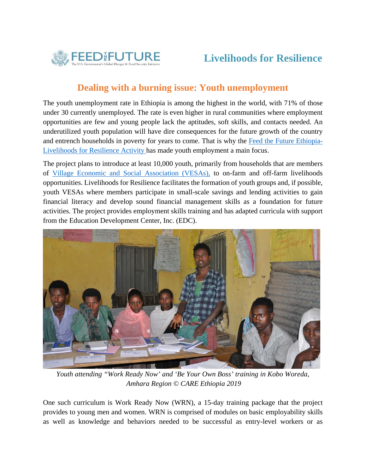

## **Dealing with a burning issue: Youth unemployment**

The youth unemployment rate in Ethiopia is among the highest in the world, with 71% of those under 30 currently unemployed. The rate is even higher in rural communities where employment opportunities are few and young people lack the aptitudes, soft skills, and contacts needed. An underutilized youth population will have dire consequences for the future growth of the country and entrench households in poverty for years to come. That is why the Feed the Future Ethiopia-Livelihoods for Resilience Activity has made youth employment a main focus.

The project plans to introduce at least 10,000 youth, primarily from households that are members of Village Economic and Social Association (VESAs), to on-farm and off-farm livelihoods opportunities. Livelihoods for Resilience facilitates the formation of youth groups and, if possible, youth VESAs where members participate in small-scale savings and lending activities to gain financial literacy and develop sound financial management skills as a foundation for future activities. The project provides employment skills training and has adapted curricula with support from the Education Development Center, Inc. (EDC).



*Youth attending "Work Ready Now' and 'Be Your Own Boss' training in Kobo Woreda, Amhara Region © CARE Ethiopia 2019* 

One such curriculum is Work Ready Now (WRN), a 15-day training package that the project provides to young men and women. WRN is comprised of modules on basic employability skills as well as knowledge and behaviors needed to be successful as entry-level workers or as